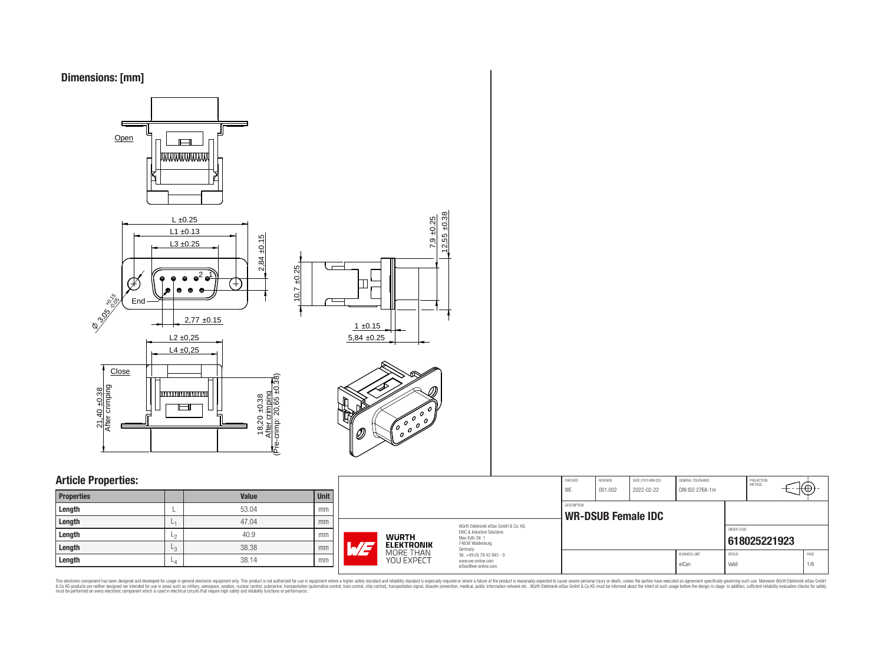



## **Article Properties:**

| <b>Properties</b> |      | <b>Value</b> | <b>Unit</b> |
|-------------------|------|--------------|-------------|
| Length            |      | 53.04        | mm          |
| Length            | L1   | 47.04        | mm          |
| Length            | ∟շ   | 40.9         | mm          |
| Length            | L3   | 38.38        | mm          |
| Length            | $-4$ | 38.14        | mm          |

| MORE THAN<br>YOU EXPECT    | Germany<br>Tel. +49 (0) 79 42 945 - 0<br>www.we-online.com<br>eiSos@we-online.com                                   |                    |                     |                                 | <b>BUSINESS UNIT</b><br>eiCan        | <b>STATUS</b><br>Valid |                             | PAGE<br>1/6 |
|----------------------------|---------------------------------------------------------------------------------------------------------------------|--------------------|---------------------|---------------------------------|--------------------------------------|------------------------|-----------------------------|-------------|
| NURTH<br><b>ELEKTRONIK</b> | Würth Elektronik eiSos GmbH & Co. KG<br><b>EMC &amp; Inductive Solutions</b><br>Max-Eyth-Str. 1<br>74638 Waldenburg |                    |                     |                                 |                                      | ORDER CODE             | 618025221923                |             |
|                            |                                                                                                                     | <b>DESCRIPTION</b> |                     | <b>WR-DSUB Female IDC</b>       |                                      |                        |                             |             |
|                            |                                                                                                                     | CHECKED<br>WE      | REVISION<br>001.002 | DATE (YYYY-MM-DD)<br>2022-02-22 | GENERAL TOLERANCE<br>DIN ISO 2768-1m |                        | PROJECTION<br><b>METHOD</b> | √t⊕,        |

CHECKED REVISION DATE (YYYY-MM-DD) GENERAL TOLERANCE PROJECTION PROJECTION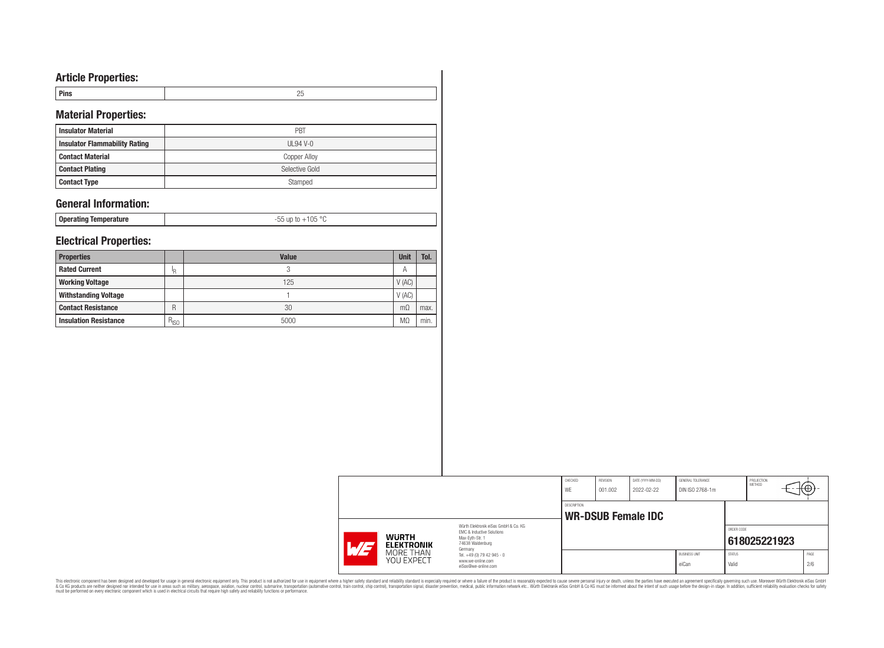# **Article Properties:**

| Pins | л.<br>$\sim$ |
|------|--------------|
|      |              |

# **Material Properties:**

| <b>Insulator Material</b>            | PBT            |
|--------------------------------------|----------------|
| <b>Insulator Flammability Rating</b> | UL94 V-0       |
| <b>Contact Material</b>              | Copper Alloy   |
| <b>Contact Plating</b>               | Selective Gold |
| <b>Contact Type</b>                  | Stamped        |

## **General Information:**

**Operating Temperature** -55 up to +105 °C

## **Electrical Properties:**

| <b>Properties</b>            |           | <b>Value</b> | <b>Unit</b> | Tol. |
|------------------------------|-----------|--------------|-------------|------|
| <b>Rated Current</b>         | 'R        | 2            | А           |      |
| <b>Working Voltage</b>       |           | 125          | V(AC)       |      |
| <b>Withstanding Voltage</b>  |           |              | V(AC)       |      |
| <b>Contact Resistance</b>    | R         | 30           | $m\Omega$   | max. |
| <b>Insulation Resistance</b> | $R_{ISO}$ | 5000         | МC          | min. |

|                                                 |                                                | CHECKED<br>WE | REVISION<br>001.002 | DATE (YYYY-MM-DD)<br>2022-02-22 | GENERAL TOLERANCE<br>DIN ISO 2768-1m |               | PROJECTION<br>METHOD | ⊬∺   |
|-------------------------------------------------|------------------------------------------------|---------------|---------------------|---------------------------------|--------------------------------------|---------------|----------------------|------|
|                                                 |                                                | DESCRIPTION   |                     |                                 |                                      |               |                      |      |
|                                                 | Würth Flektronik eiSos GmbH & Co. KG           |               |                     | <b>WR-DSUB Female IDC</b>       |                                      |               |                      |      |
|                                                 | EMC & Inductive Solutions                      |               |                     |                                 |                                      | ORDER CODE    |                      |      |
| <b>WURTH</b><br><b>ELEKTRONIK</b><br>$\sqrt{1}$ | Max-Eyth-Str. 1<br>74638 Waldenburg<br>Germany |               |                     |                                 |                                      |               | 618025221923         |      |
| MORE THAN                                       | Tel. +49 (0) 79 42 945 - 0                     |               |                     |                                 | <b>BUSINESS UNIT</b>                 | <b>STATUS</b> |                      | PAGE |
| <b>YOU EXPECT</b>                               | www.we-online.com<br>eiSos@we-online.com       |               |                     |                                 | eiCan                                | Valid         |                      | 2/6  |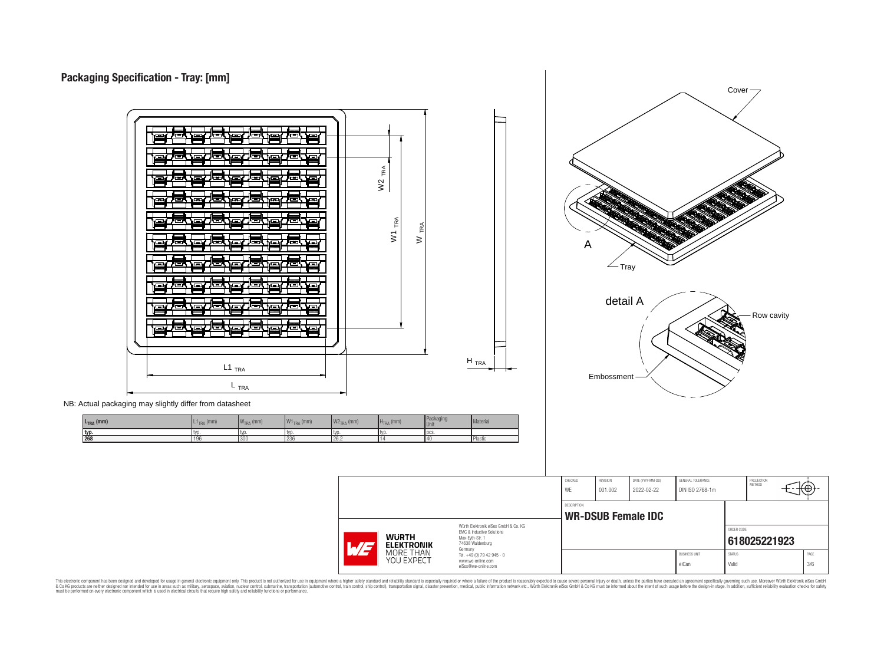



NB: Actual packaging may slightly differ from datasheet

| $L_{\text{TRA}}$ (mm) | $T_{\text{TRA}}$ (mm) | $WTRA$ (mm) | $W1_{TRA}$ (mm) | $W2_{TRA}$ (mm) | $HTRA$ (mm) | Packaging<br>Unit | Material |
|-----------------------|-----------------------|-------------|-----------------|-----------------|-------------|-------------------|----------|
| typ.                  | l tvr                 | l typ       | I typ.          | l tvr           | l typ       | l pcs.            |          |
| 268                   | 196                   | 300         | 236             | 26.2            |             | 140               | Plastic  |

|                                                                                            |                                                                   | CHECKED     | <b>REVISION</b> | DATE (YYYY-MM-DD)         | GENERAL TOLERANCE    |               | PROJECTION<br>METHOD |      |
|--------------------------------------------------------------------------------------------|-------------------------------------------------------------------|-------------|-----------------|---------------------------|----------------------|---------------|----------------------|------|
|                                                                                            |                                                                   | WE          | 001.002         | 2022-02-22                | DIN ISO 2768-1m      |               |                      | ₩Ψ,  |
|                                                                                            |                                                                   | DESCRIPTION |                 |                           |                      |               |                      |      |
|                                                                                            |                                                                   |             |                 | <b>WR-DSUB Female IDC</b> |                      |               |                      |      |
|                                                                                            | Würth Elektronik eiSos GmbH & Co. KG<br>EMC & Inductive Solutions |             |                 |                           |                      | ORDER CODE    |                      |      |
| <b>WURTH</b><br>Max-Evth-Str. 1<br>74638 Waldenburg<br><b>ELEKTRONIK</b><br>L/E<br>Germany |                                                                   |             |                 |                           |                      |               | 618025221923         |      |
| MORE THAN                                                                                  | Tel. +49 (0) 79 42 945 - 0                                        |             |                 |                           | <b>BUSINESS UNIT</b> | <b>STATUS</b> |                      | PAGE |
| YOU EXPECT<br>www.we-online.com<br>eiSos@we-online.com                                     |                                                                   |             |                 |                           | eiCan                | Valid         |                      | 3/6  |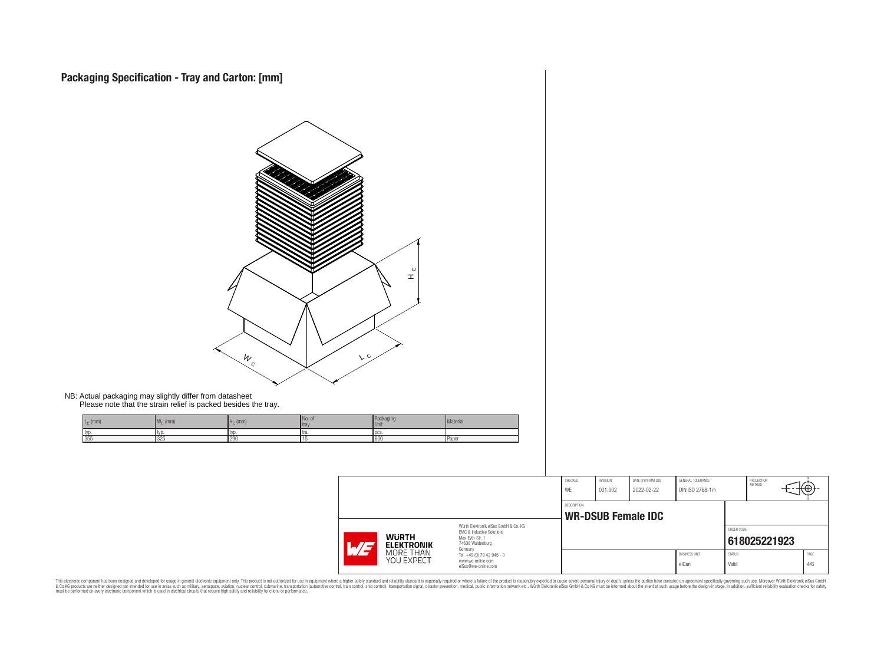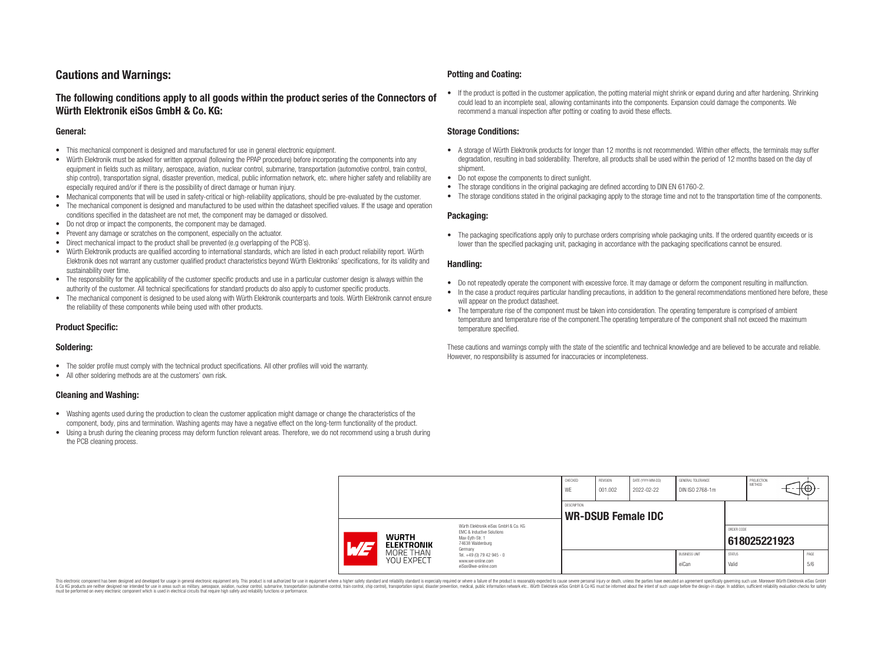# **Cautions and Warnings:**

## **The following conditions apply to all goods within the product series of the Connectors of Würth Elektronik eiSos GmbH & Co. KG:**

#### **General:**

- This mechanical component is designed and manufactured for use in general electronic equipment.
- Würth Elektronik must be asked for written approval (following the PPAP procedure) before incorporating the components into any equipment in fields such as military, aerospace, aviation, nuclear control, submarine, transportation (automotive control, train control, ship control), transportation signal, disaster prevention, medical, public information network, etc. where higher safety and reliability are especially required and/or if there is the possibility of direct damage or human injury.
- Mechanical components that will be used in safety-critical or high-reliability applications, should be pre-evaluated by the customer.
- The mechanical component is designed and manufactured to be used within the datasheet specified values. If the usage and operation conditions specified in the datasheet are not met, the component may be damaged or dissolved.
- Do not drop or impact the components, the component may be damaged.
- Prevent any damage or scratches on the component, especially on the actuator.
- Direct mechanical impact to the product shall be prevented (e.g overlapping of the PCB's).
- Würth Elektronik products are qualified according to international standards, which are listed in each product reliability report. Würth Elektronik does not warrant any customer qualified product characteristics beyond Würth Elektroniks' specifications, for its validity and sustainability over time.
- The responsibility for the applicability of the customer specific products and use in a particular customer design is always within the authority of the customer. All technical specifications for standard products do also apply to customer specific products.
- The mechanical component is designed to be used along with Würth Elektronik counterparts and tools. Würth Elektronik cannot ensure the reliability of these components while being used with other products.

### **Product Specific:**

#### **Soldering:**

- The solder profile must comply with the technical product specifications. All other profiles will void the warranty.
- All other soldering methods are at the customers' own risk.

#### **Cleaning and Washing:**

- Washing agents used during the production to clean the customer application might damage or change the characteristics of the component, body, pins and termination. Washing agents may have a negative effect on the long-term functionality of the product.
- Using a brush during the cleaning process may deform function relevant areas. Therefore, we do not recommend using a brush during the PCB cleaning process.

#### **Potting and Coating:**

• If the product is potted in the customer application, the potting material might shrink or expand during and after hardening. Shrinking could lead to an incomplete seal, allowing contaminants into the components. Expansion could damage the components. We recommend a manual inspection after potting or coating to avoid these effects.

#### **Storage Conditions:**

- A storage of Würth Elektronik products for longer than 12 months is not recommended. Within other effects, the terminals may suffer degradation, resulting in bad solderability. Therefore, all products shall be used within the period of 12 months based on the day of shipment.
- Do not expose the components to direct sunlight.
- The storage conditions in the original packaging are defined according to DIN EN 61760-2.
- The storage conditions stated in the original packaging apply to the storage time and not to the transportation time of the components.

#### **Packaging:**

• The packaging specifications apply only to purchase orders comprising whole packaging units. If the ordered quantity exceeds or is lower than the specified packaging unit, packaging in accordance with the packaging specifications cannot be ensured.

#### **Handling:**

- Do not repeatedly operate the component with excessive force. It may damage or deform the component resulting in malfunction.
- In the case a product requires particular handling precautions, in addition to the general recommendations mentioned here before, these will appear on the product datasheet
- The temperature rise of the component must be taken into consideration. The operating temperature is comprised of ambient temperature and temperature rise of the component.The operating temperature of the component shall not exceed the maximum temperature specified.

These cautions and warnings comply with the state of the scientific and technical knowledge and are believed to be accurate and reliable. However, no responsibility is assumed for inaccuracies or incompleteness.

|                          |                                   |                                                                                                                     | CHECKED<br>WE      | <b>REVISION</b><br>001.002 | DATE (YYYY-MM-DD)<br>2022-02-22 | GENERAL TOLERANCE<br>DIN ISO 2768-1m |                        | PROJECTION<br>METHOD | ₩           |
|--------------------------|-----------------------------------|---------------------------------------------------------------------------------------------------------------------|--------------------|----------------------------|---------------------------------|--------------------------------------|------------------------|----------------------|-------------|
|                          |                                   |                                                                                                                     | <b>DESCRIPTION</b> |                            | <b>WR-DSUB Female IDC</b>       |                                      |                        |                      |             |
| $\overline{\phantom{0}}$ | <b>WURTH</b><br><b>ELEKTRONIK</b> | Würth Elektronik eiSos GmbH & Co. KG<br>EMC & Inductive Solutions<br>Max-Eyth-Str. 1<br>74638 Waldenburg<br>Germany |                    |                            |                                 |                                      | ORDER CODE             | 618025221923         |             |
|                          | MORE THAN<br>YOU EXPECT           | Tel. +49 (0) 79 42 945 - 0<br>www.we-online.com<br>eiSos@we-online.com                                              |                    |                            |                                 | <b>BUSINESS UNIT</b><br>eiCan        | <b>STATUS</b><br>Valid |                      | PAGE<br>5/6 |

This electronic component has been designed and developed for usage in general electronic equipment only. This product is not authorized for use in equipment where a higher safety standard and reliability standard si espec & Ook product a label and the membed of the seasuch as marked and as which such a membed and the such assume that income in the seasuch and the simulation and the such assume that include to the such a membed and the such